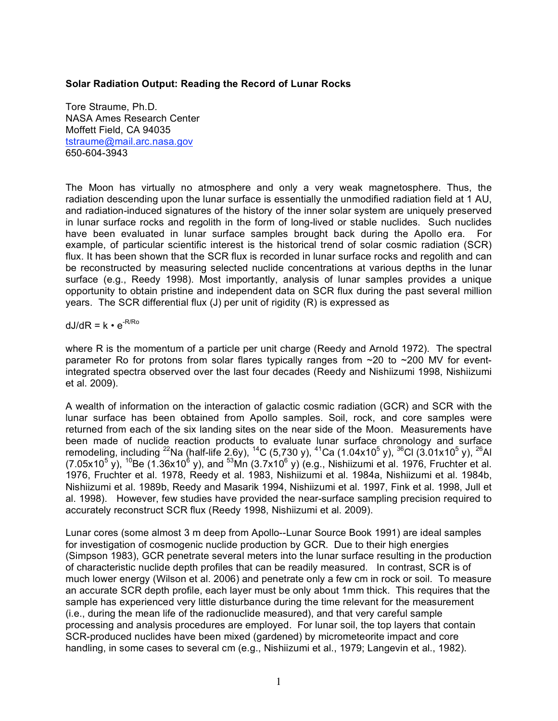### **Solar Radiation Output: Reading the Record of Lunar Rocks**

Tore Straume, Ph.D. NASA Ames Research Center Moffett Field, CA 94035 tstraume@mail.arc.nasa.gov 650-604-3943

The Moon has virtually no atmosphere and only a very weak magnetosphere. Thus, the radiation descending upon the lunar surface is essentially the unmodified radiation field at 1 AU, and radiation-induced signatures of the history of the inner solar system are uniquely preserved in lunar surface rocks and regolith in the form of long-lived or stable nuclides. Such nuclides have been evaluated in lunar surface samples brought back during the Apollo era. example, of particular scientific interest is the historical trend of solar cosmic radiation (SCR) flux. It has been shown that the SCR flux is recorded in lunar surface rocks and regolith and can be reconstructed by measuring selected nuclide concentrations at various depths in the lunar surface (e.g., Reedy 1998). Most importantly, analysis of lunar samples provides a unique opportunity to obtain pristine and independent data on SCR flux during the past several million years. The SCR differential flux (J) per unit of rigidity (R) is expressed as

# $dJ/dR = k \cdot e^{-R/Ro}$

where R is the momentum of a particle per unit charge (Reedy and Arnold 1972). The spectral parameter Ro for protons from solar flares typically ranges from  $\sim$ 20 to  $\sim$ 200 MV for eventintegrated spectra observed over the last four decades (Reedy and Nishiizumi 1998, Nishiizumi et al. 2009).

A wealth of information on the interaction of galactic cosmic radiation (GCR) and SCR with the lunar surface has been obtained from Apollo samples. Soil, rock, and core samples were returned from each of the six landing sites on the near side of the Moon. Measurements have been made of nuclide reaction products to evaluate lunar surface chronology and surface remodeling, including <sup>22</sup>Na (half-life 2.6y), <sup>14</sup>C (5,730 y), <sup>41</sup>Ca (1.04x10<sup>5</sup> y), <sup>36</sup>Cl (3.01x10<sup>5</sup> y), <sup>26</sup>Al (7.05x10<sup>5</sup> y), <sup>10</sup>Be (1.36x10<sup>6</sup> y), and <sup>53</sup>Mn (3.7x10<sup>6</sup> y) (e.g., Nishiizumi et al. 1976, Fruchter et al. 1976, Fruchter et al. 1978, Reedy et al. 1983, Nishiizumi et al. 1984a, Nishiizumi et al. 1984b, Nishiizumi et al. 1989b, Reedy and Masarik 1994, Nishiizumi et al. 1997, Fink et al. 1998, Jull et al. 1998). However, few studies have provided the near-surface sampling precision required to accurately reconstruct SCR flux (Reedy 1998, Nishiizumi et al. 2009).

Lunar cores (some almost 3 m deep from Apollo--Lunar Source Book 1991) are ideal samples for investigation of cosmogenic nuclide production by GCR. Due to their high energies (Simpson 1983), GCR penetrate several meters into the lunar surface resulting in the production of characteristic nuclide depth profiles that can be readily measured. In contrast, SCR is of much lower energy (Wilson et al. 2006) and penetrate only a few cm in rock or soil. To measure an accurate SCR depth profile, each layer must be only about 1mm thick. This requires that the sample has experienced very little disturbance during the time relevant for the measurement (i.e., during the mean life of the radionuclide measured), and that very careful sample processing and analysis procedures are employed. For lunar soil, the top layers that contain SCR-produced nuclides have been mixed (gardened) by micrometeorite impact and core handling, in some cases to several cm (e.g., Nishiizumi et al., 1979; Langevin et al., 1982).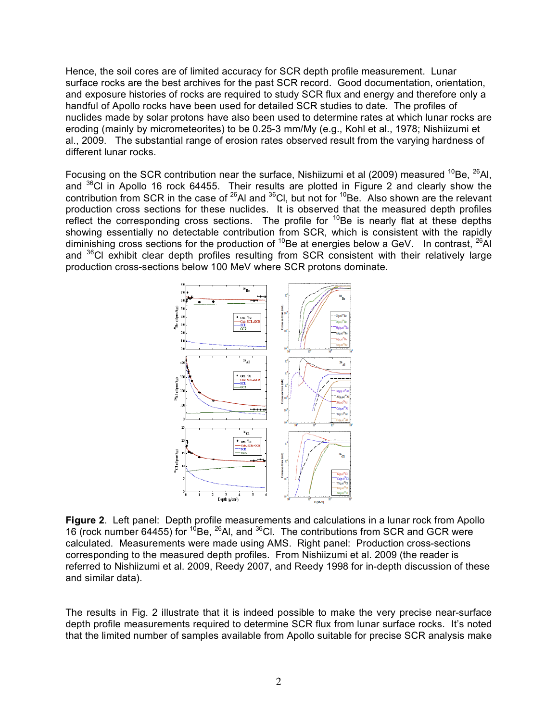Hence, the soil cores are of limited accuracy for SCR depth profile measurement. Lunar surface rocks are the best archives for the past SCR record. Good documentation, orientation, and exposure histories of rocks are required to study SCR flux and energy and therefore only a handful of Apollo rocks have been used for detailed SCR studies to date. The profiles of nuclides made by solar protons have also been used to determine rates at which lunar rocks are eroding (mainly by micrometeorites) to be 0.25-3 mm/My (e.g., Kohl et al., 1978; Nishiizumi et al., 2009. The substantial range of erosion rates observed result from the varying hardness of different lunar rocks.

Focusing on the SCR contribution near the surface, Nishiizumi et al (2009) measured <sup>10</sup>Be,  $^{26}$ Al, and  $36$ Cl in Apollo 16 rock 64455. Their results are plotted in Figure 2 and clearly show the contribution from SCR in the case of  $^{26}$ Al and  $^{36}$ Cl, but not for  $^{10}$ Be. Also shown are the relevant production cross sections for these nuclides. It is observed that the measured depth profiles reflect the corresponding cross sections. The profile for  ${}^{10}$ Be is nearly flat at these depths showing essentially no detectable contribution from SCR, which is consistent with the rapidly diminishing cross sections for the production of  ${}^{10}$ Be at energies below a GeV. In contrast,  ${}^{26}$ Al and <sup>36</sup>Cl exhibit clear depth profiles resulting from SCR consistent with their relatively large production cross-sections below 100 MeV where SCR protons dominate.



**Figure 2**. Left panel: Depth profile measurements and calculations in a lunar rock from Apollo 16 (rock number 64455) for <sup>10</sup>Be, <sup>26</sup>Al, and <sup>36</sup>Cl. The contributions from SCR and GCR were calculated. Measurements were made using AMS. Right panel: Production cross-sections corresponding to the measured depth profiles. From Nishiizumi et al. 2009 (the reader is referred to Nishiizumi et al. 2009, Reedy 2007, and Reedy 1998 for in-depth discussion of these and similar data).

The results in Fig. 2 illustrate that it is indeed possible to make the very precise near-surface depth profile measurements required to determine SCR flux from lunar surface rocks. It's noted that the limited number of samples available from Apollo suitable for precise SCR analysis make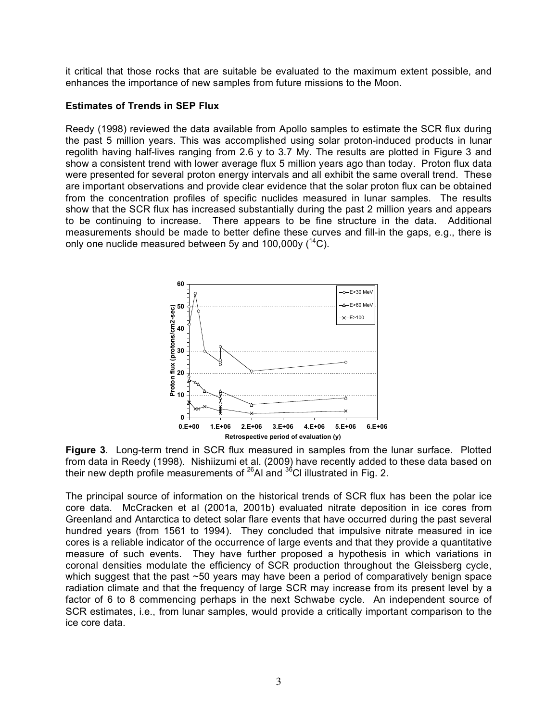it critical that those rocks that are suitable be evaluated to the maximum extent possible, and enhances the importance of new samples from future missions to the Moon.

## **Estimates of Trends in SEP Flux**

Reedy (1998) reviewed the data available from Apollo samples to estimate the SCR flux during the past 5 million years. This was accomplished using solar proton-induced products in lunar regolith having half-lives ranging from 2.6 y to 3.7 My. The results are plotted in Figure 3 and show a consistent trend with lower average flux 5 million years ago than today. Proton flux data were presented for several proton energy intervals and all exhibit the same overall trend. These are important observations and provide clear evidence that the solar proton flux can be obtained from the concentration profiles of specific nuclides measured in lunar samples. The results show that the SCR flux has increased substantially during the past 2 million years and appears to be continuing to increase. There appears to be fine structure in the data. Additional measurements should be made to better define these curves and fill-in the gaps, e.g., there is only one nuclide measured between 5y and 100,000y  $(^{14}C)$ .



**Figure 3**. Long-term trend in SCR flux measured in samples from the lunar surface. Plotted from data in Reedy (1998). Nishiizumi et al. (2009) have recently added to these data based on their new depth profile measurements of  $^{26}$ AI and  $^{36}$ CI illustrated in Fig. 2.

The principal source of information on the historical trends of SCR flux has been the polar ice core data. McCracken et al (2001a, 2001b) evaluated nitrate deposition in ice cores from Greenland and Antarctica to detect solar flare events that have occurred during the past several hundred years (from 1561 to 1994). They concluded that impulsive nitrate measured in ice cores is a reliable indicator of the occurrence of large events and that they provide a quantitative measure of such events. They have further proposed a hypothesis in which variations in coronal densities modulate the efficiency of SCR production throughout the Gleissberg cycle, which suggest that the past ~50 years may have been a period of comparatively benign space radiation climate and that the frequency of large SCR may increase from its present level by a factor of 6 to 8 commencing perhaps in the next Schwabe cycle. An independent source of SCR estimates, i.e., from lunar samples, would provide a critically important comparison to the ice core data.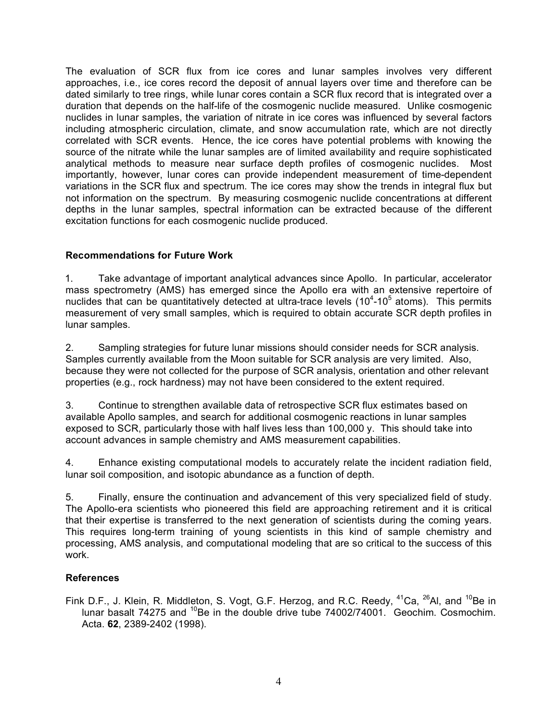The evaluation of SCR flux from ice cores and lunar samples involves very different approaches, i.e., ice cores record the deposit of annual layers over time and therefore can be dated similarly to tree rings, while lunar cores contain a SCR flux record that is integrated over a duration that depends on the half-life of the cosmogenic nuclide measured. Unlike cosmogenic nuclides in lunar samples, the variation of nitrate in ice cores was influenced by several factors including atmospheric circulation, climate, and snow accumulation rate, which are not directly correlated with SCR events. Hence, the ice cores have potential problems with knowing the source of the nitrate while the lunar samples are of limited availability and require sophisticated analytical methods to measure near surface depth profiles of cosmogenic nuclides. Most importantly, however, lunar cores can provide independent measurement of time-dependent variations in the SCR flux and spectrum. The ice cores may show the trends in integral flux but not information on the spectrum. By measuring cosmogenic nuclide concentrations at different depths in the lunar samples, spectral information can be extracted because of the different excitation functions for each cosmogenic nuclide produced.

## **Recommendations for Future Work**

1. Take advantage of important analytical advances since Apollo. In particular, accelerator mass spectrometry (AMS) has emerged since the Apollo era with an extensive repertoire of nuclides that can be quantitatively detected at ultra-trace levels  $(10^4 - 10^5 \text{ atoms})$ . This permits measurement of very small samples, which is required to obtain accurate SCR depth profiles in lunar samples.

2. Sampling strategies for future lunar missions should consider needs for SCR analysis. Samples currently available from the Moon suitable for SCR analysis are very limited. Also, because they were not collected for the purpose of SCR analysis, orientation and other relevant properties (e.g., rock hardness) may not have been considered to the extent required.

3. Continue to strengthen available data of retrospective SCR flux estimates based on available Apollo samples, and search for additional cosmogenic reactions in lunar samples exposed to SCR, particularly those with half lives less than 100,000 y. This should take into account advances in sample chemistry and AMS measurement capabilities.

4. Enhance existing computational models to accurately relate the incident radiation field, lunar soil composition, and isotopic abundance as a function of depth.

5. Finally, ensure the continuation and advancement of this very specialized field of study. The Apollo-era scientists who pioneered this field are approaching retirement and it is critical that their expertise is transferred to the next generation of scientists during the coming years. This requires long-term training of young scientists in this kind of sample chemistry and processing, AMS analysis, and computational modeling that are so critical to the success of this work.

## **References**

Fink D.F., J. Klein, R. Middleton, S. Vogt, G.F. Herzog, and R.C. Reedy, <sup>41</sup>Ca, <sup>26</sup>Al, and <sup>10</sup>Be in lunar basalt 74275 and <sup>10</sup>Be in the double drive tube 74002/74001. Geochim. Cosmochim. Acta. **62**, 2389-2402 (1998).